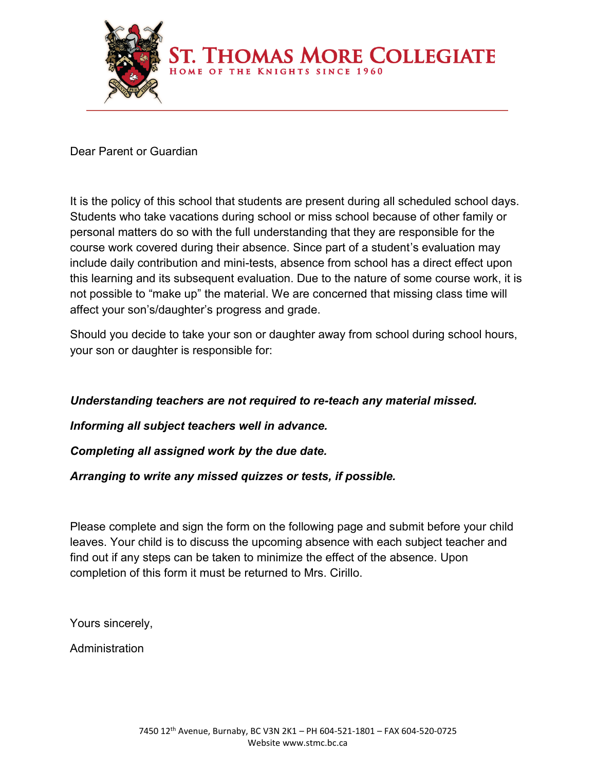

Dear Parent or Guardian

It is the policy of this school that students are present during all scheduled school days. Students who take vacations during school or miss school because of other family or personal matters do so with the full understanding that they are responsible for the course work covered during their absence. Since part of a student's evaluation may include daily contribution and mini-tests, absence from school has a direct effect upon this learning and its subsequent evaluation. Due to the nature of some course work, it is not possible to "make up" the material. We are concerned that missing class time will affect your son's/daughter's progress and grade.

Should you decide to take your son or daughter away from school during school hours, your son or daughter is responsible for:

## *Understanding teachers are not required to re-teach any material missed.*

*Informing all subject teachers well in advance.*

*Completing all assigned work by the due date.*

*Arranging to write any missed quizzes or tests, if possible.*

Please complete and sign the form on the following page and submit before your child leaves. Your child is to discuss the upcoming absence with each subject teacher and find out if any steps can be taken to minimize the effect of the absence. Upon completion of this form it must be returned to Mrs. Cirillo.

Yours sincerely,

**Administration**